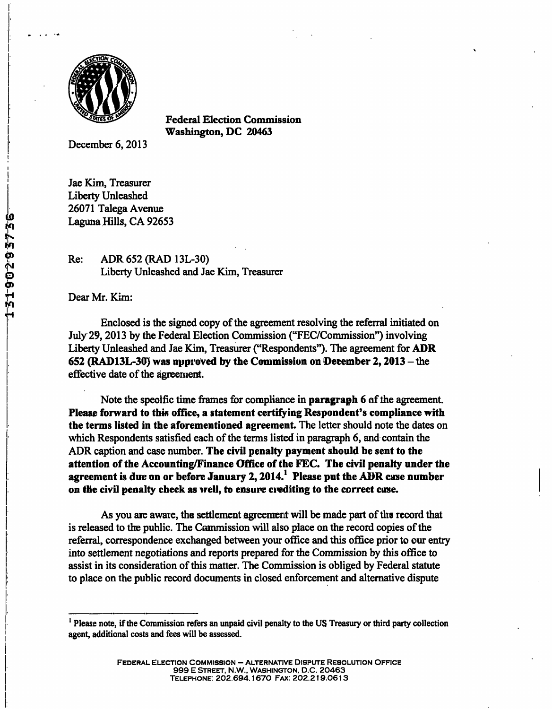

**Federal Election Commission Washington, DC 20463** 

December 6, 2013

Jae Kim, Treasurer Liberty Unleashed 26071 Talega Avenue Laguna Hills, CA 92653

Re: ADR 652 (RAD 13L-30) Liberty Unleashed and Jae Kim, Treasurer

Dear Mr. Kim:

Enclosed is the signed copy of the agreement resolving the referral initiated on July 29, 2013 by the Federal Election Commission ("FEC/Commission") involving Liberty Unleashed and Jae Kim, Treasurer ("Respondents"). The agreement for ADR 652 (RAD13L-30) was approved by the Commission on December 2,  $2013$  – the effective date of the agreement.

**Note the specific time frames for compliance in paragraph 6 of the agreement. Please forward to this ofiice, a statement certifying Respondent's compliance with the terms listed in the aforementioned agreement. The letter should note the dates on which Respondents satisfied each of the terms listed in paragraph 6, and contain the ADR caption and case number. The civil penalty payment should be sent to the**  attention of the Accounting/Finance Office of the FEC. The civil penalty under the **agreement is due on or before January 2,2014.' Please put the ADR case number on the civil penalty check as well, to ensure crediting to the correct case.** 

As you are aware, the settlement agreement will be made part of the record that is released to the public. The Commission will also place on the record copies of the referral, correspondence exchanged between your oflice and this office prior to our entry into settlement negotiations and reports prepared for the Commission by this office to assist in its consideration of this matter. The Commission is obliged by Federal statute to place on the public record documents in closed enforcement and altemative dispute

<sup>&</sup>lt;sup>1</sup> Please note, if the Commission refers an unpaid civil penalty to the US Treasury or third party collection agent, additional costs and fees will be assessed.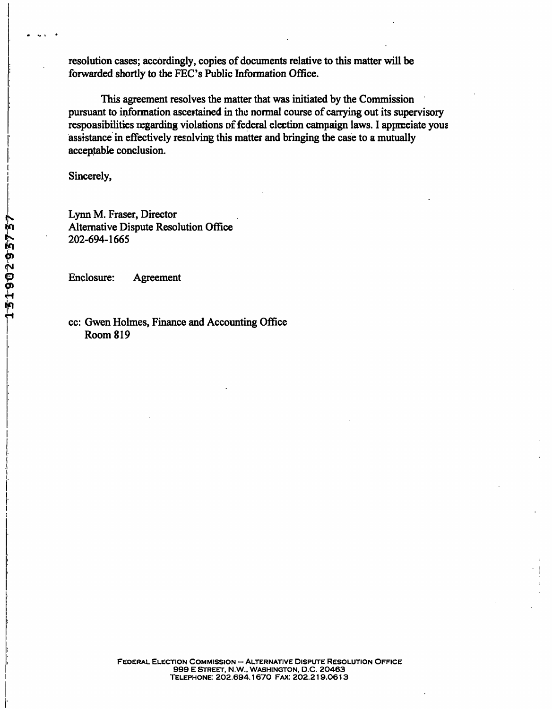**resolution cases; accordingly, copies of documents relative to this matter will be**  forwarded shortly to the FEC's Public Information Office.

**This agreement resolves the matter that was initiated by the Commission pursuant to information ascertained in the normal course of carrying out its supervisory responsibilities regarding violations of federal election campaign laws. I appreciate your assistance in effectively resolving this matter and bringing the case to a mutually acceptable conclusion.** 

**Sincerely,** 

**Lynn M. Fraser, Director Altemative Dispute Resolution Office 202-694-1665** 

**Enclosure: Agreement** 

**cc: Gwen Holmes, Finance and Accounting Office Room 819**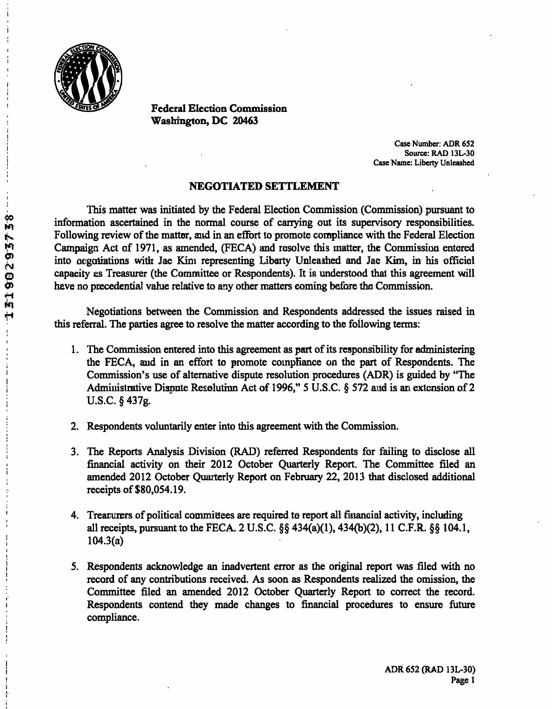

**Federal Election Commission Washington, DC 20463** 

> Case Number: ADR 652 Source: RAD 13L-30 Case Name: Liberty Unleashed

## **NEGOTIATED SETTLEMENT**

This matter was initiated by the Federal Election Commission (Commission) pursuant to information ascertained in the normal course of carrying out its supervisory responsibilities. Following review of the matter, and in an effort to promote compliance with the Federal Election Campaign Act of 1971, as amended, (FECA) and resolve this matter, the Commission entered into negotiations with Jae Kim representing Liberty Unleashed and Jae Kim, in his official capacity as Treasurer (the Committee or Respondents). It is understood that this agreement will have no precedential value relative to any other matters coming before the Commission.

Negotiations between the Commission and Respondents addressed the issues raised in this referral. The parties agree to resolve the matter according to the following terms:

- 1. The Commission entered into this agreement as part of its responsibility for administering the FECA, and in an effort to promote compliance on the part of Respondents. The Commission's use of altemative dispute resolution procedures (ADR) is guided by "The Administrative Dispute Resolution Act of 1996," 5 U.S.C. § 572 and is an extension of 2 U.S.C. § 437g.
- 2. Respondents voluntarily enter into this agreement with the Commission.
- 3. The Reports Analysis Division (RAD) referred Respondents for failing to disclose all financial activity on their 2012 October Quarterly Report. The Committee filed an amended 2012 October Quarterly Report on February 22, 2013 that disclosed additional receipts of \$80,054.19.
- 4. Treasurers of political committees are required to report all financial activity, including all receipts, pursuant to the FECA. 2 U.S.C. §§ 434(a)(1), 434(b)(2), 11 C.F.R. §§ 104.1,  $104.3(a)$
- 5. Respondents acknowledge an inadvertent error as the original report was filed with no record of any contributions received. As soon as Respondents realized the omission, the Committee filed an amended 2012 October Quarterly Report to correct the record. Respondents contend they made changes to financial procedures to ensure future compliance.